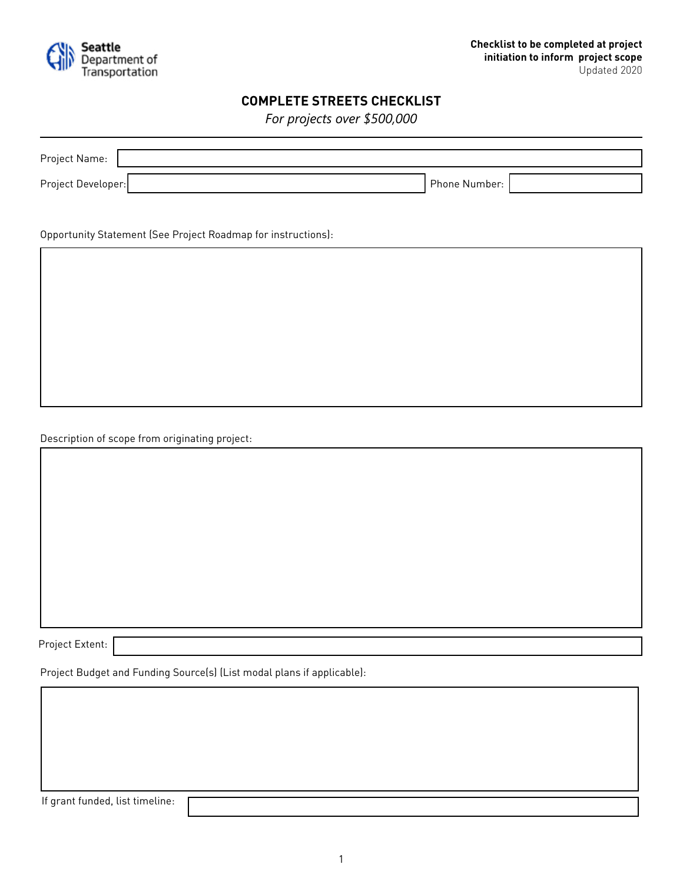

## **COMPLETE STREETS CHECKLIST**

*For projects over \$500,000* 

| Project Name:      |               |  |
|--------------------|---------------|--|
| Project Developer: | Phone Number: |  |

Opportunity Statement (See Project Roadmap for instructions):

Description of scope from originating project:

Project Extent:

Project Budget and Funding Source(s) (List modal plans if applicable):

If grant funded, list timeline: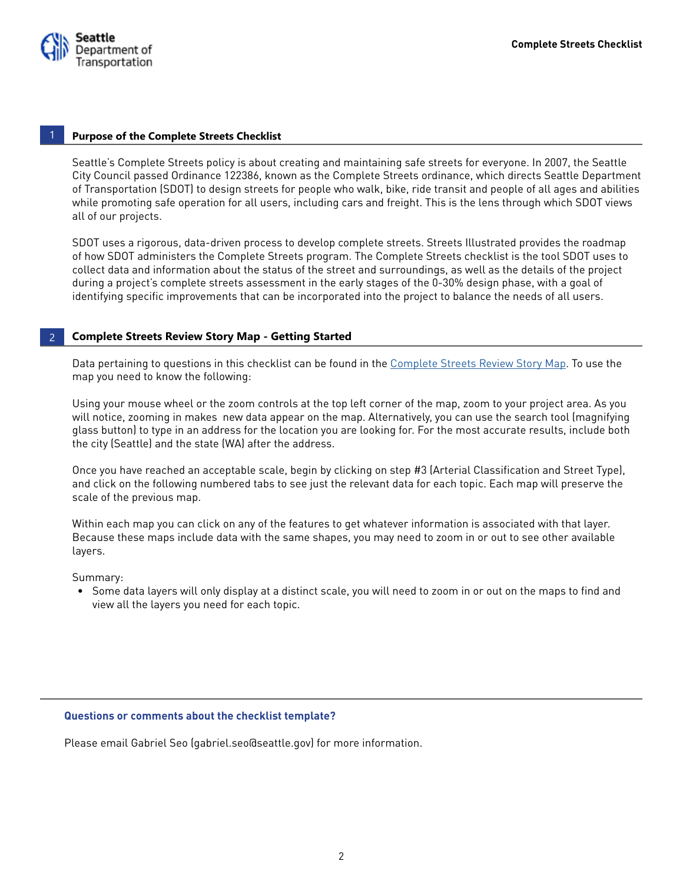

### **Purpose of the Complete Streets Checklist**

Seattle's Complete Streets policy is about creating and maintaining safe streets for everyone. In 2007, the Seattle City Council passed Ordinance 122386, known as the Complete Streets ordinance, which directs Seattle Department of Transportation (SDOT) to design streets for people who walk, bike, ride transit and people of all ages and abilities while promoting safe operation for all users, including cars and freight. This is the lens through which SDOT views all of our projects.

SDOT uses a rigorous, data-driven process to develop complete streets. Streets Illustrated provides the roadmap of how SDOT administers the Complete Streets program. The Complete Streets checklist is the tool SDOT uses to collect data and information about the status of the street and surroundings, as well as the details of the project during a project's complete streets assessment in the early stages of the 0-30% design phase, with a goal of identifying specific improvements that can be incorporated into the project to balance the needs of all users.

#### **Complete Streets Review Story Map - Getting Started** 2

Data pertaining to questions in this checklist can be found in the [Complete Streets Review Story Map](http://seattlecitygis.maps.arcgis.com/apps/MapSeries/index.html?appid=eaf1b68cb55b4d5d86022becf0a0f47f). To use the map you need to know the following:

Using your mouse wheel or the zoom controls at the top left corner of the map, zoom to your project area. As you will notice, zooming in makes new data appear on the map. Alternatively, you can use the search tool (magnifying glass button) to type in an address for the location you are looking for. For the most accurate results, include both the city (Seattle) and the state (WA) after the address.

Once you have reached an acceptable scale, begin by clicking on step #3 (Arterial Classification and Street Type), and click on the following numbered tabs to see just the relevant data for each topic. Each map will preserve the scale of the previous map.

Within each map you can click on any of the features to get whatever information is associated with that layer. Because these maps include data with the same shapes, you may need to zoom in or out to see other available layers.

Summary:

• Some data layers will only display at a distinct scale, you will need to zoom in or out on the maps to find and view all the layers you need for each topic.

## **Questions or comments about the checklist template?**

Please email Gabriel Seo (gabriel.seo@seattle.gov) for more information.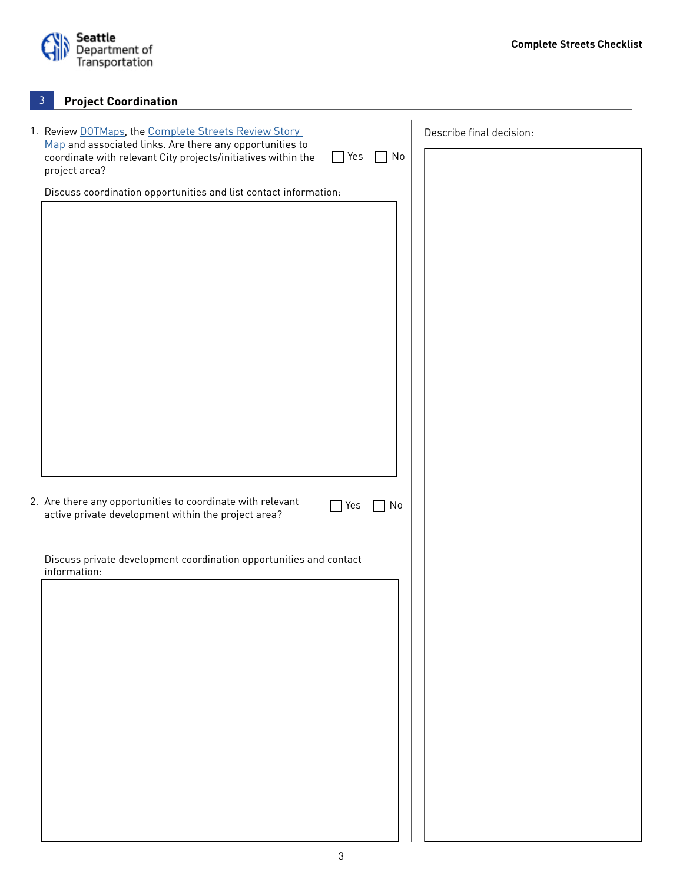

# **Project Coordination**

| 1. Review DOTMaps, the Complete Streets Review Story<br>Map and associated links. Are there any opportunities to                          | Describe final decision: |
|-------------------------------------------------------------------------------------------------------------------------------------------|--------------------------|
| coordinate with relevant City projects/initiatives within the<br>$\Box$ No<br>$\Box$ Yes<br>project area?                                 |                          |
| Discuss coordination opportunities and list contact information:                                                                          |                          |
|                                                                                                                                           |                          |
|                                                                                                                                           |                          |
|                                                                                                                                           |                          |
|                                                                                                                                           |                          |
|                                                                                                                                           |                          |
|                                                                                                                                           |                          |
|                                                                                                                                           |                          |
|                                                                                                                                           |                          |
|                                                                                                                                           |                          |
|                                                                                                                                           |                          |
|                                                                                                                                           |                          |
| 2. Are there any opportunities to coordinate with relevant<br>1 No<br><b>T</b> Yes<br>active private development within the project area? |                          |
|                                                                                                                                           |                          |
| Discuss private development coordination opportunities and contact                                                                        |                          |
| information:                                                                                                                              |                          |
|                                                                                                                                           |                          |
|                                                                                                                                           |                          |
|                                                                                                                                           |                          |
|                                                                                                                                           |                          |
|                                                                                                                                           |                          |
|                                                                                                                                           |                          |
|                                                                                                                                           |                          |
|                                                                                                                                           |                          |
|                                                                                                                                           |                          |
|                                                                                                                                           |                          |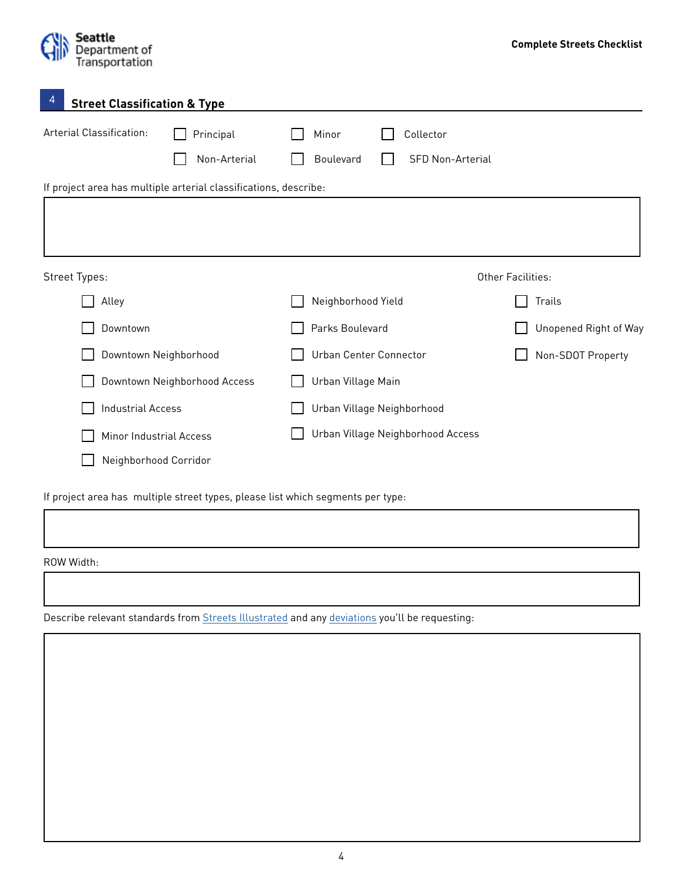

| 4             | <b>Street Classification &amp; Type</b> |                                                                  |                    |                                      |                       |  |
|---------------|-----------------------------------------|------------------------------------------------------------------|--------------------|--------------------------------------|-----------------------|--|
|               | Arterial Classification:                | Principal<br>Non-Arterial                                        | Minor<br>Boulevard | Collector<br><b>SFD Non-Arterial</b> |                       |  |
|               |                                         | If project area has multiple arterial classifications, describe: |                    |                                      |                       |  |
|               |                                         |                                                                  |                    |                                      |                       |  |
| Street Types: |                                         |                                                                  |                    |                                      | Other Facilities:     |  |
|               | Alley                                   |                                                                  | Neighborhood Yield |                                      | Trails                |  |
|               | Downtown                                |                                                                  | Parks Boulevard    |                                      | Unopened Right of Way |  |
|               | Downtown Neighborhood                   |                                                                  |                    | Urban Center Connector               | Non-SDOT Property     |  |
|               |                                         | Downtown Neighborhood Access                                     | Urban Village Main |                                      |                       |  |
|               | <b>Industrial Access</b>                |                                                                  |                    | Urban Village Neighborhood           |                       |  |
|               | Minor Industrial Access                 |                                                                  |                    | Urban Village Neighborhood Access    |                       |  |
|               | Neighborhood Corridor                   |                                                                  |                    |                                      |                       |  |
|               |                                         |                                                                  |                    |                                      |                       |  |

If project area has multiple street types, please list which segments per type:

ROW Width:

Describe relevant standards from **[Streets Illustrated](http://streetsillustrated.seattle.gov/)** and any [deviations](http://streetsillustrated.seattle.gov/navigating-the-process/deviation-process/) you'll be requesting: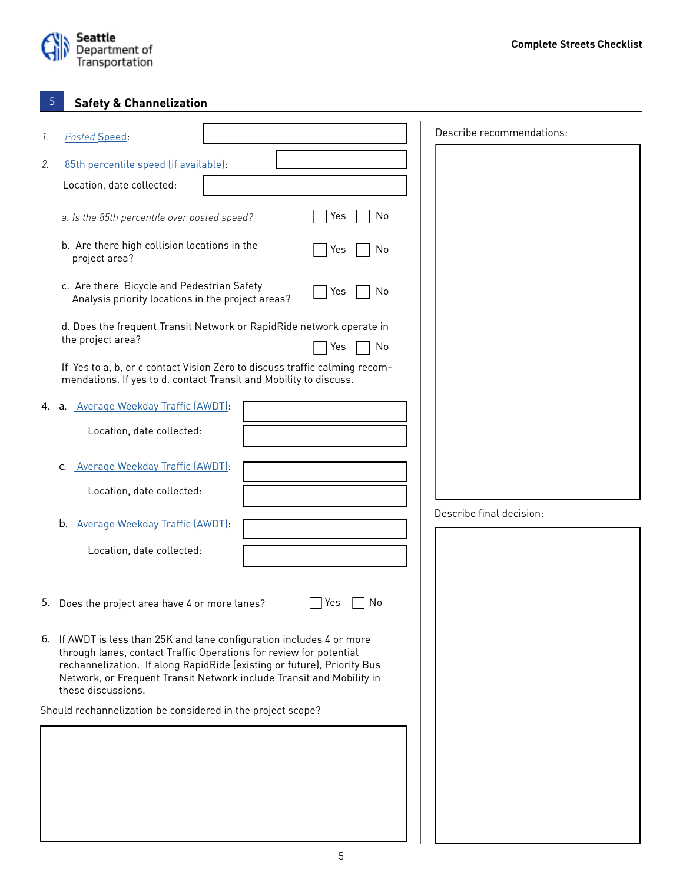

#### **Safety & Channelization** 5

| 1. | Posted Speed:                                                                                                                                                                                                                                                                                                        |                    | Describe recommendations: |
|----|----------------------------------------------------------------------------------------------------------------------------------------------------------------------------------------------------------------------------------------------------------------------------------------------------------------------|--------------------|---------------------------|
| 2. | 85th percentile speed (if available):                                                                                                                                                                                                                                                                                |                    |                           |
|    | Location, date collected:                                                                                                                                                                                                                                                                                            |                    |                           |
|    | a. Is the 85th percentile over posted speed?                                                                                                                                                                                                                                                                         | Yes<br>No          |                           |
|    | b. Are there high collision locations in the<br>project area?                                                                                                                                                                                                                                                        | Yes<br>No          |                           |
|    | c. Are there Bicycle and Pedestrian Safety<br>Analysis priority locations in the project areas?                                                                                                                                                                                                                      | <b>T</b> Yes<br>No |                           |
|    | d. Does the frequent Transit Network or RapidRide network operate in<br>the project area?                                                                                                                                                                                                                            | Yes<br>No          |                           |
|    | If Yes to a, b, or c contact Vision Zero to discuss traffic calming recom-<br>mendations. If yes to d. contact Transit and Mobility to discuss.                                                                                                                                                                      |                    |                           |
|    | 4. a. Average Weekday Traffic (AWDT):                                                                                                                                                                                                                                                                                |                    |                           |
|    | Location, date collected:                                                                                                                                                                                                                                                                                            |                    |                           |
|    | c. Average Weekday Traffic (AWDT):                                                                                                                                                                                                                                                                                   |                    |                           |
|    | Location, date collected:                                                                                                                                                                                                                                                                                            |                    |                           |
|    | b. Average Weekday Traffic (AWDT):                                                                                                                                                                                                                                                                                   |                    | Describe final decision:  |
|    | Location, date collected:                                                                                                                                                                                                                                                                                            |                    |                           |
|    | 5. Does the project area have 4 or more lanes?                                                                                                                                                                                                                                                                       | No<br>Yes          |                           |
|    | 6. If AWDT is less than 25K and lane configuration includes 4 or more<br>through lanes, contact Traffic Operations for review for potential<br>rechannelization. If along RapidRide (existing or future), Priority Bus<br>Network, or Frequent Transit Network include Transit and Mobility in<br>these discussions. |                    |                           |
|    | Should rechannelization be considered in the project scope?                                                                                                                                                                                                                                                          |                    |                           |
|    |                                                                                                                                                                                                                                                                                                                      |                    |                           |
|    |                                                                                                                                                                                                                                                                                                                      |                    |                           |
|    |                                                                                                                                                                                                                                                                                                                      |                    |                           |
|    |                                                                                                                                                                                                                                                                                                                      |                    |                           |
|    |                                                                                                                                                                                                                                                                                                                      |                    |                           |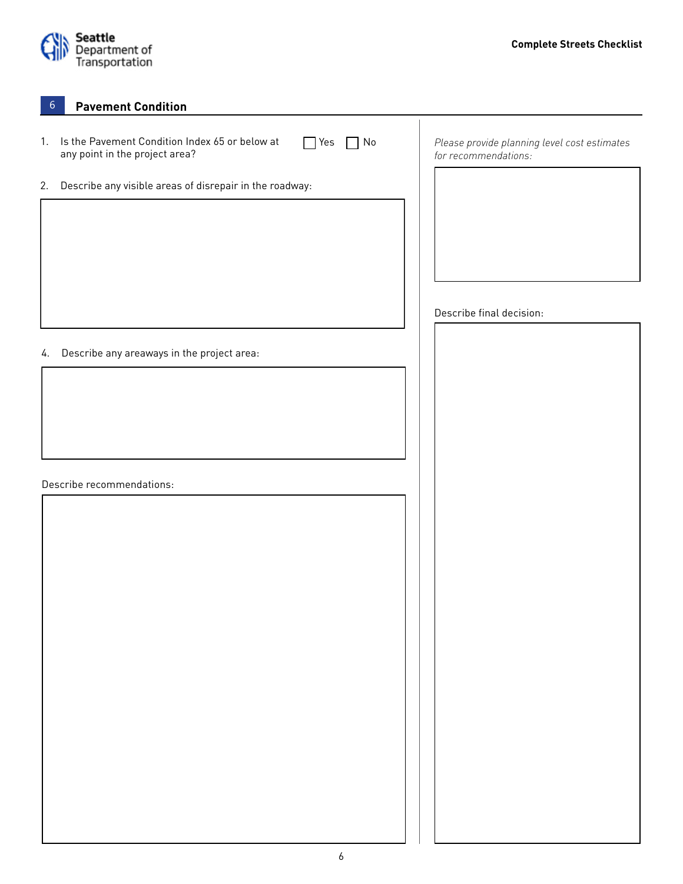

**Pavement Condition**

| 1. | Is the Pavement Condition Index 65 or below at<br>$\Box$ No<br>$\Box$ Yes<br>any point in the project area? | Please provide planning level cost estimates<br>for recommendations: |
|----|-------------------------------------------------------------------------------------------------------------|----------------------------------------------------------------------|
| 2. | Describe any visible areas of disrepair in the roadway:                                                     |                                                                      |
|    |                                                                                                             |                                                                      |
|    |                                                                                                             |                                                                      |
|    |                                                                                                             |                                                                      |
|    |                                                                                                             |                                                                      |
|    |                                                                                                             | Describe final decision:                                             |
| 4. | Describe any areaways in the project area:                                                                  |                                                                      |
|    |                                                                                                             |                                                                      |
|    |                                                                                                             |                                                                      |
|    |                                                                                                             |                                                                      |
|    |                                                                                                             |                                                                      |
|    | Describe recommendations:                                                                                   |                                                                      |
|    |                                                                                                             |                                                                      |
|    |                                                                                                             |                                                                      |
|    |                                                                                                             |                                                                      |
|    |                                                                                                             |                                                                      |
|    |                                                                                                             |                                                                      |
|    |                                                                                                             |                                                                      |
|    |                                                                                                             |                                                                      |
|    |                                                                                                             |                                                                      |
|    |                                                                                                             |                                                                      |
|    |                                                                                                             |                                                                      |
|    |                                                                                                             |                                                                      |
|    |                                                                                                             |                                                                      |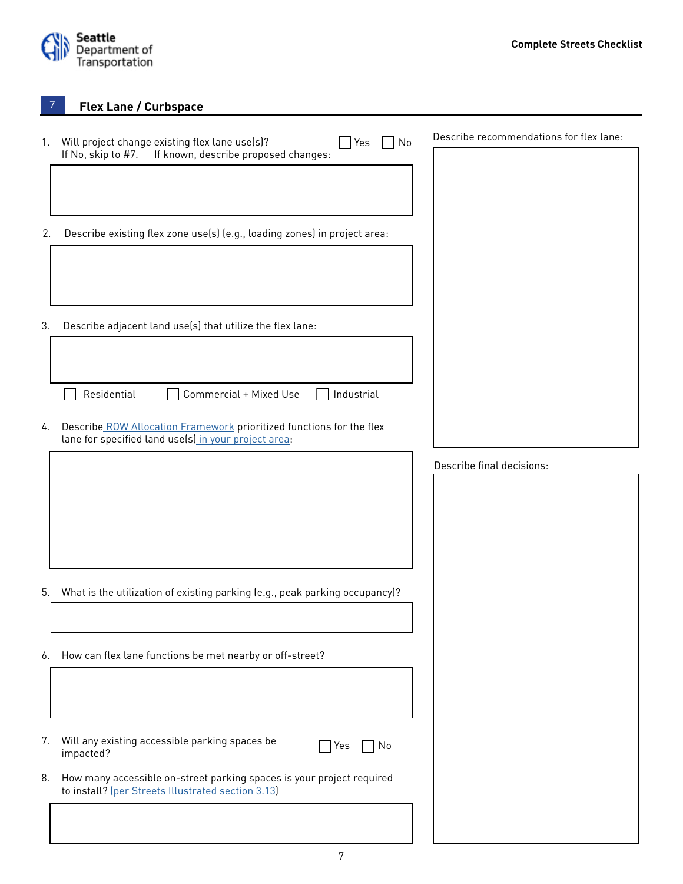

**Flex Lane / Curbspace**

| 1. | Will project change existing flex lane use(s)?<br>$\blacksquare$ Yes<br>$\Box$ No                                                       | Describe recommendations for flex lane: |
|----|-----------------------------------------------------------------------------------------------------------------------------------------|-----------------------------------------|
| 2. | If No, skip to #7.<br>If known, describe proposed changes:<br>Describe existing flex zone use(s) (e.g., loading zones) in project area: |                                         |
|    |                                                                                                                                         |                                         |
| 3. | Describe adjacent land use(s) that utilize the flex lane:                                                                               |                                         |
|    | Residential<br>Commercial + Mixed Use<br>Industrial                                                                                     |                                         |
| 4. | Describe ROW Allocation Framework prioritized functions for the flex<br>lane for specified land use(s) in your project area:            |                                         |
|    |                                                                                                                                         | Describe final decisions:               |
| 5. | What is the utilization of existing parking (e.g., peak parking occupancy)?                                                             |                                         |
| 6. | How can flex lane functions be met nearby or off-street?                                                                                |                                         |
| 7. | Will any existing accessible parking spaces be<br>Yes<br>No<br>impacted?                                                                |                                         |
| 8. | How many accessible on-street parking spaces is your project required<br>to install? [per Streets Illustrated section 3.13]             |                                         |
|    |                                                                                                                                         |                                         |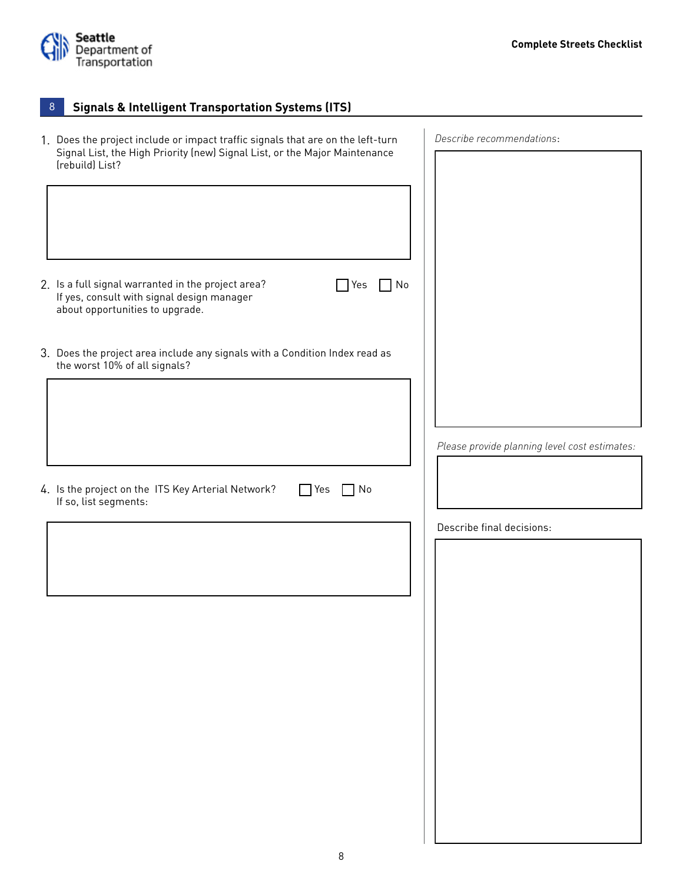

#### **Signals & Intelligent Transportation Systems (ITS)**  8

| 1. Does the project include or impact traffic signals that are on the left-turn                                                                         | Describe recommendations:                     |
|---------------------------------------------------------------------------------------------------------------------------------------------------------|-----------------------------------------------|
| Signal List, the High Priority (new) Signal List, or the Major Maintenance<br>(rebuild) List?                                                           |                                               |
|                                                                                                                                                         |                                               |
|                                                                                                                                                         |                                               |
|                                                                                                                                                         |                                               |
|                                                                                                                                                         |                                               |
| 2. Is a full signal warranted in the project area?<br>$\neg$ No<br>Yes<br>If yes, consult with signal design manager<br>about opportunities to upgrade. |                                               |
| 3. Does the project area include any signals with a Condition Index read as<br>the worst 10% of all signals?                                            |                                               |
|                                                                                                                                                         |                                               |
|                                                                                                                                                         | Please provide planning level cost estimates: |
|                                                                                                                                                         |                                               |
| 4. Is the project on the ITS Key Arterial Network?<br>$\Box$ No<br>$\Box$ Yes                                                                           |                                               |
| If so, list segments:                                                                                                                                   |                                               |
|                                                                                                                                                         | Describe final decisions:                     |
|                                                                                                                                                         |                                               |
|                                                                                                                                                         |                                               |
|                                                                                                                                                         |                                               |
|                                                                                                                                                         |                                               |
|                                                                                                                                                         |                                               |
|                                                                                                                                                         |                                               |
|                                                                                                                                                         |                                               |
|                                                                                                                                                         |                                               |
|                                                                                                                                                         |                                               |
|                                                                                                                                                         |                                               |
|                                                                                                                                                         |                                               |
|                                                                                                                                                         |                                               |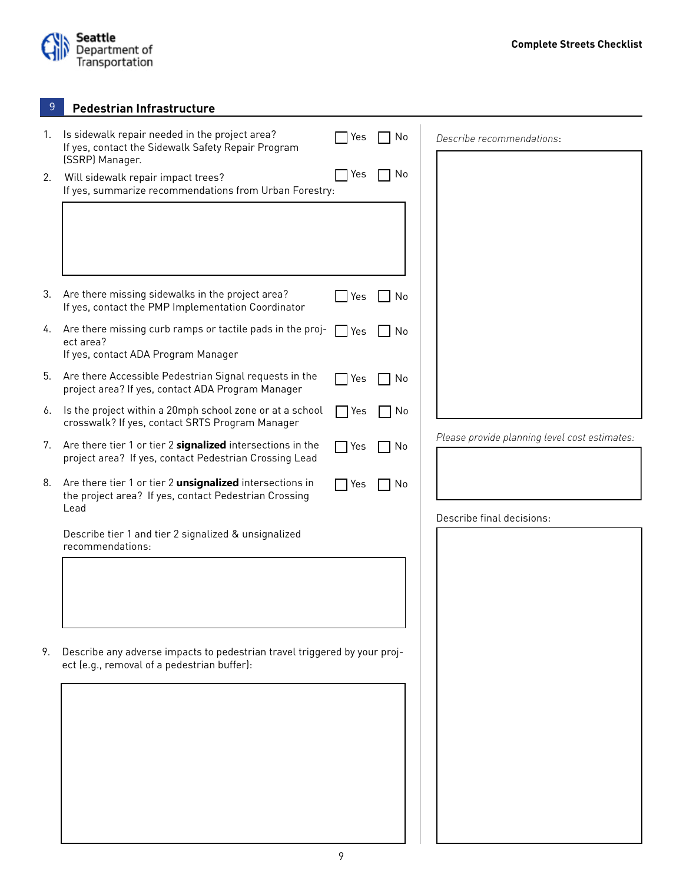

**Pedestrian Infrastructure**

| 1. | Is sidewalk repair needed in the project area?<br>If yes, contact the Sidewalk Safety Repair Program<br>(SSRP) Manager.          | Yes        | No                   | Describe recommendations:                     |
|----|----------------------------------------------------------------------------------------------------------------------------------|------------|----------------------|-----------------------------------------------|
| 2. | Will sidewalk repair impact trees?<br>If yes, summarize recommendations from Urban Forestry:                                     | Yes        | No<br>$\blacksquare$ |                                               |
|    |                                                                                                                                  |            |                      |                                               |
|    |                                                                                                                                  |            |                      |                                               |
|    |                                                                                                                                  |            |                      |                                               |
| 3. | Are there missing sidewalks in the project area?<br>If yes, contact the PMP Implementation Coordinator                           | Yes        | No                   |                                               |
| 4. | Are there missing curb ramps or tactile pads in the proj-<br>ect area?                                                           | Yes        | No.                  |                                               |
|    | If yes, contact ADA Program Manager                                                                                              |            |                      |                                               |
| 5. | Are there Accessible Pedestrian Signal requests in the<br>project area? If yes, contact ADA Program Manager                      | Yes        | No                   |                                               |
| 6. | Is the project within a 20mph school zone or at a school<br>crosswalk? If yes, contact SRTS Program Manager                      | Yes        | No                   |                                               |
| 7. | Are there tier 1 or tier 2 signalized intersections in the<br>project area? If yes, contact Pedestrian Crossing Lead             | $\Box$ Yes | No                   | Please provide planning level cost estimates: |
| 8. | Are there tier 1 or tier 2 <i>unsignalized</i> intersections in<br>the project area? If yes, contact Pedestrian Crossing<br>Lead | Yes        | No                   |                                               |
|    | Describe tier 1 and tier 2 signalized & unsignalized<br>recommendations:                                                         |            |                      | Describe final decisions:                     |
|    |                                                                                                                                  |            |                      |                                               |
|    |                                                                                                                                  |            |                      |                                               |
|    |                                                                                                                                  |            |                      |                                               |
| 9. | Describe any adverse impacts to pedestrian travel triggered by your proj-<br>ect (e.g., removal of a pedestrian buffer):         |            |                      |                                               |
|    |                                                                                                                                  |            |                      |                                               |
|    |                                                                                                                                  |            |                      |                                               |
|    |                                                                                                                                  |            |                      |                                               |
|    |                                                                                                                                  |            |                      |                                               |
|    |                                                                                                                                  |            |                      |                                               |
|    |                                                                                                                                  |            |                      |                                               |
|    |                                                                                                                                  |            |                      |                                               |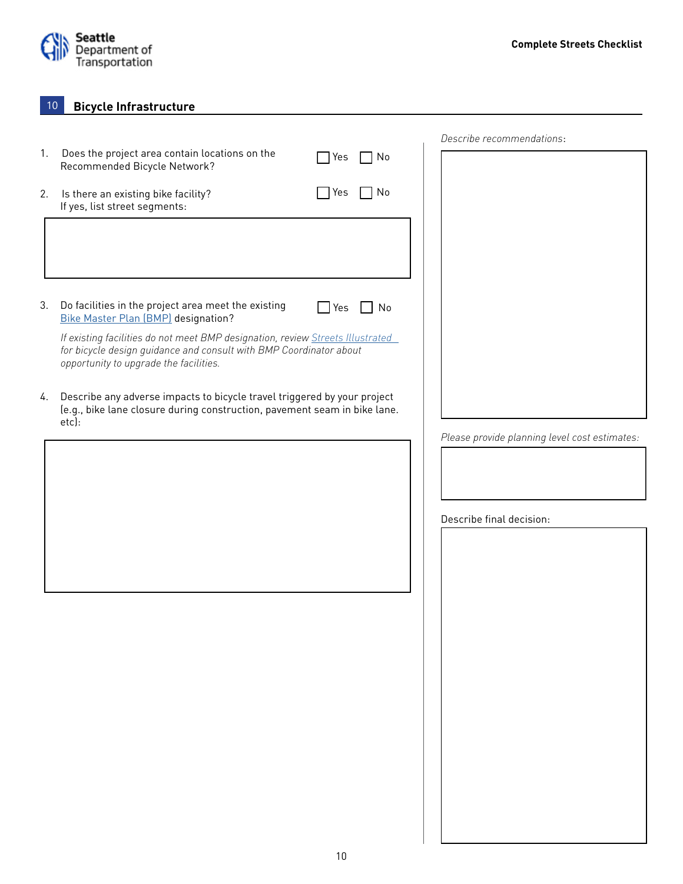

#### **Bicycle Infrastructure** 10

|    |                                                                                                                                                                                                |            |           | Describe recommendations:                     |  |
|----|------------------------------------------------------------------------------------------------------------------------------------------------------------------------------------------------|------------|-----------|-----------------------------------------------|--|
| 1. | Does the project area contain locations on the<br>Recommended Bicycle Network?                                                                                                                 | Yes        | No        |                                               |  |
| 2. | Is there an existing bike facility?<br>If yes, list street segments:                                                                                                                           | <b>Yes</b> | 7 No      |                                               |  |
|    |                                                                                                                                                                                                |            |           |                                               |  |
|    |                                                                                                                                                                                                |            |           |                                               |  |
| 3. | Do facilities in the project area meet the existing<br><b>Bike Master Plan (BMP)</b> designation?                                                                                              | Yes        | $\Box$ No |                                               |  |
|    | If existing facilities do not meet BMP designation, review Streets Illustrated<br>for bicycle design guidance and consult with BMP Coordinator about<br>opportunity to upgrade the facilities. |            |           |                                               |  |
| 4. | Describe any adverse impacts to bicycle travel triggered by your project<br>(e.g., bike lane closure during construction, pavement seam in bike lane.<br>etc):                                 |            |           |                                               |  |
|    |                                                                                                                                                                                                |            |           | Please provide planning level cost estimates: |  |
|    |                                                                                                                                                                                                |            |           |                                               |  |
|    |                                                                                                                                                                                                |            |           |                                               |  |
|    |                                                                                                                                                                                                |            |           |                                               |  |
|    |                                                                                                                                                                                                |            |           | Describe final decision:                      |  |
|    |                                                                                                                                                                                                |            |           |                                               |  |
|    |                                                                                                                                                                                                |            |           |                                               |  |
|    |                                                                                                                                                                                                |            |           |                                               |  |
|    |                                                                                                                                                                                                |            |           |                                               |  |
|    |                                                                                                                                                                                                |            |           |                                               |  |
|    |                                                                                                                                                                                                |            |           |                                               |  |
|    |                                                                                                                                                                                                |            |           |                                               |  |
|    |                                                                                                                                                                                                |            |           |                                               |  |
|    |                                                                                                                                                                                                |            |           |                                               |  |
|    |                                                                                                                                                                                                |            |           |                                               |  |
|    |                                                                                                                                                                                                |            |           |                                               |  |
|    |                                                                                                                                                                                                |            |           |                                               |  |
|    |                                                                                                                                                                                                |            |           |                                               |  |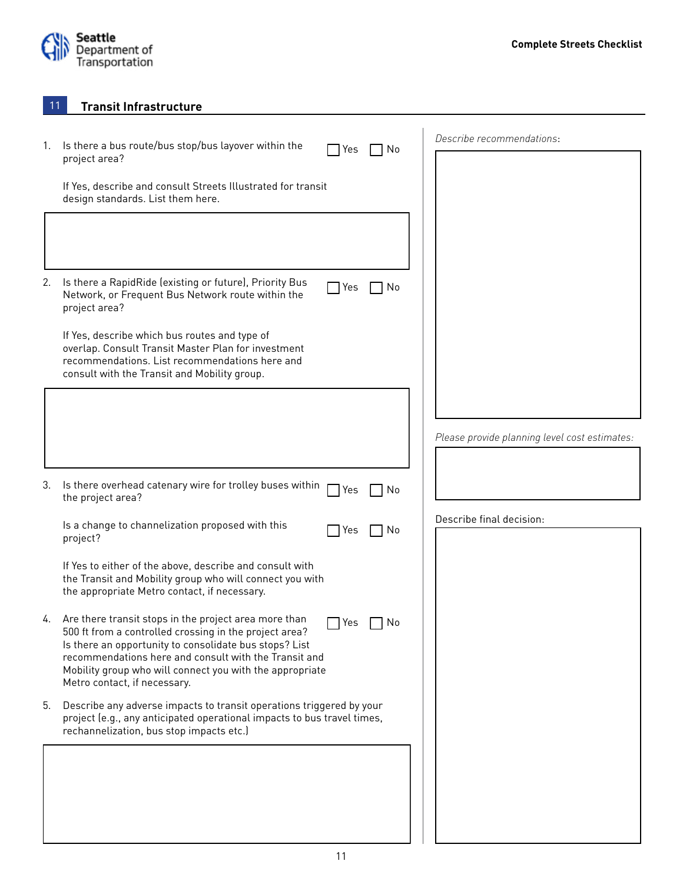

 $\mathbf{I}$ 

**Transit Infrastructure**

| 1. | Is there a bus route/bus stop/bus layover within the                                                                                                                                                                                                                                                                                        | Describe recommendations:                     |
|----|---------------------------------------------------------------------------------------------------------------------------------------------------------------------------------------------------------------------------------------------------------------------------------------------------------------------------------------------|-----------------------------------------------|
|    | Yes<br>l No<br>project area?                                                                                                                                                                                                                                                                                                                |                                               |
|    | If Yes, describe and consult Streets Illustrated for transit<br>design standards. List them here.                                                                                                                                                                                                                                           |                                               |
|    |                                                                                                                                                                                                                                                                                                                                             |                                               |
| 2. | Is there a RapidRide (existing or future), Priority Bus<br>$\sqcap$ Yes<br>No<br>Network, or Frequent Bus Network route within the<br>project area?                                                                                                                                                                                         |                                               |
|    | If Yes, describe which bus routes and type of<br>overlap. Consult Transit Master Plan for investment<br>recommendations. List recommendations here and<br>consult with the Transit and Mobility group.                                                                                                                                      |                                               |
|    |                                                                                                                                                                                                                                                                                                                                             |                                               |
|    |                                                                                                                                                                                                                                                                                                                                             | Please provide planning level cost estimates: |
|    |                                                                                                                                                                                                                                                                                                                                             |                                               |
| 3. | Is there overhead catenary wire for trolley buses within<br>$\sqsupset$ Yes<br>No<br>the project area?                                                                                                                                                                                                                                      |                                               |
|    | Is a change to channelization proposed with this<br>Yes<br>No<br>project?                                                                                                                                                                                                                                                                   | Describe final decision:                      |
|    | If Yes to either of the above, describe and consult with<br>the Transit and Mobility group who will connect you with<br>the appropriate Metro contact, if necessary.                                                                                                                                                                        |                                               |
| 4. | Are there transit stops in the project area more than<br>Yes<br>No<br>500 ft from a controlled crossing in the project area?<br>Is there an opportunity to consolidate bus stops? List<br>recommendations here and consult with the Transit and<br>Mobility group who will connect you with the appropriate<br>Metro contact, if necessary. |                                               |
| 5. | Describe any adverse impacts to transit operations triggered by your<br>project (e.g., any anticipated operational impacts to bus travel times,<br>rechannelization, bus stop impacts etc.)                                                                                                                                                 |                                               |
|    |                                                                                                                                                                                                                                                                                                                                             |                                               |
|    |                                                                                                                                                                                                                                                                                                                                             |                                               |
|    |                                                                                                                                                                                                                                                                                                                                             |                                               |
|    |                                                                                                                                                                                                                                                                                                                                             |                                               |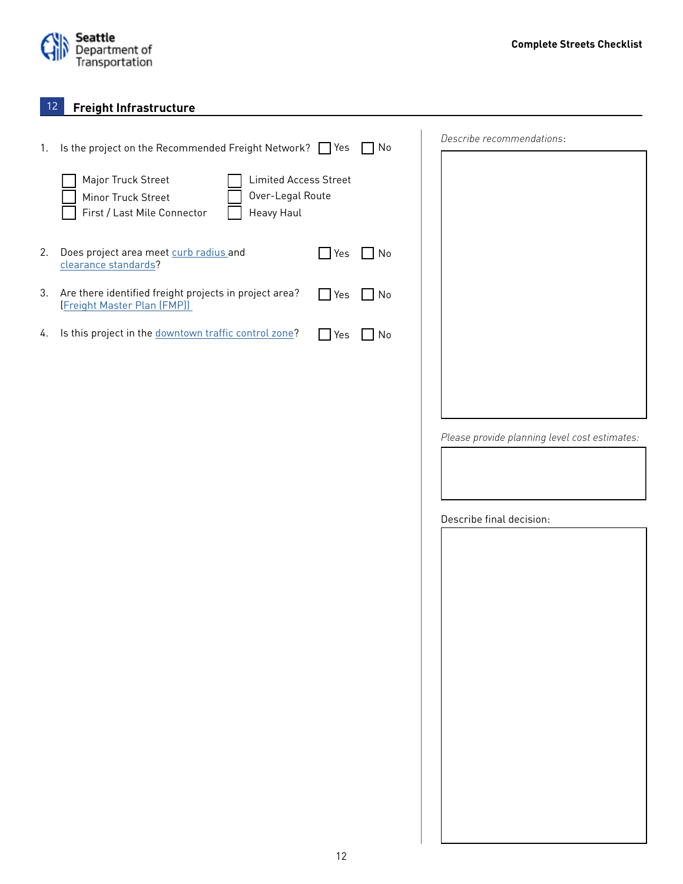

#### **Freight Infrastructure** 12

| 1. | Is the project on the Recommended Freight Network? <sup>Nes</sup>                                                                         |            | $\Box$ No | Describe recommendations:                     |
|----|-------------------------------------------------------------------------------------------------------------------------------------------|------------|-----------|-----------------------------------------------|
|    | Major Truck Street<br><b>Limited Access Street</b><br>Over-Legal Route<br>Minor Truck Street<br>First / Last Mile Connector<br>Heavy Haul |            |           |                                               |
| 2. | Does project area meet curb radius and<br>clearance standards?                                                                            | $\Box$ Yes | $\Box$ No |                                               |
| 3. | Are there identified freight projects in project area?<br><b>Freight Master Plan (FMP)</b>                                                | $\Box$ Yes | $\Box$ No |                                               |
| 4. | Is this project in the downtown traffic control zone?                                                                                     | $\Box$ Yes | $\Box$ No |                                               |
|    |                                                                                                                                           |            |           |                                               |
|    |                                                                                                                                           |            |           | Please provide planning level cost estimates: |
|    |                                                                                                                                           |            |           |                                               |
|    |                                                                                                                                           |            |           | Describe final decision:                      |
|    |                                                                                                                                           |            |           |                                               |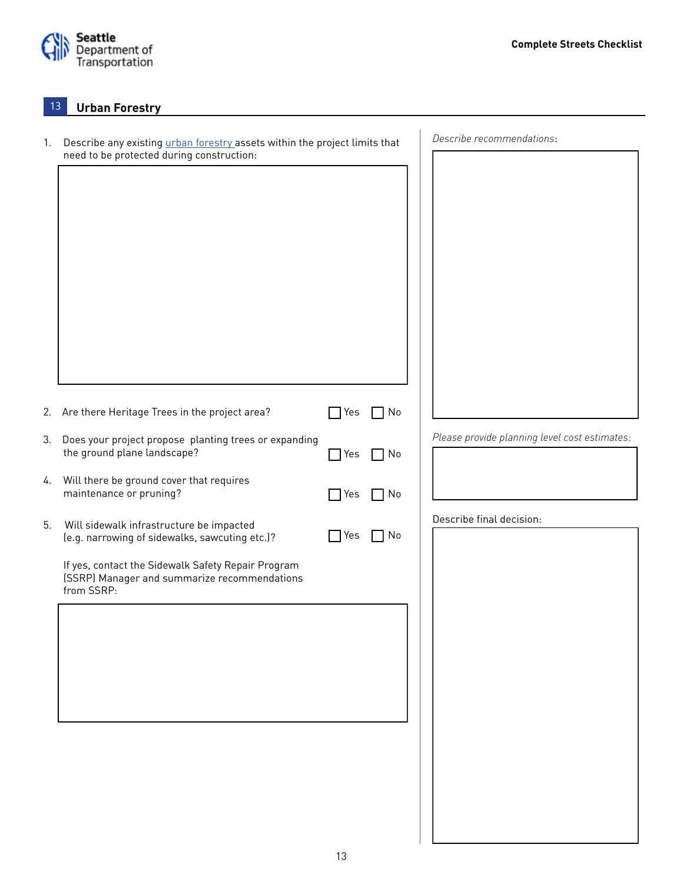

#### **Urban Forestry** 13

| 1. | Describe any existing <i>urban forestry</i> assets within the project limits that                                |               |             | Describe recommendations:                     |
|----|------------------------------------------------------------------------------------------------------------------|---------------|-------------|-----------------------------------------------|
|    | need to be protected during construction:                                                                        |               |             |                                               |
|    |                                                                                                                  |               |             |                                               |
|    |                                                                                                                  |               |             |                                               |
|    |                                                                                                                  |               |             |                                               |
|    |                                                                                                                  |               |             |                                               |
|    |                                                                                                                  |               |             |                                               |
|    |                                                                                                                  |               |             |                                               |
|    |                                                                                                                  |               |             |                                               |
|    |                                                                                                                  |               |             |                                               |
|    |                                                                                                                  |               |             |                                               |
|    |                                                                                                                  |               |             |                                               |
|    | 2. Are there Heritage Trees in the project area?                                                                 | Yes           | No          |                                               |
|    | 3. Does your project propose planting trees or expanding                                                         |               |             | Please provide planning level cost estimates: |
|    | the ground plane landscape?                                                                                      | Yes           | $\sqcap$ No |                                               |
| 4. | Will there be ground cover that requires                                                                         |               |             |                                               |
|    | maintenance or pruning?                                                                                          | Yes           | ∩ No        |                                               |
| 5. | Will sidewalk infrastructure be impacted<br>(e.g. narrowing of sidewalks, sawcuting etc.)?                       | $\bigcap$ Yes | $\sqcap$ No | Describe final decision:                      |
|    |                                                                                                                  |               |             |                                               |
|    | If yes, contact the Sidewalk Safety Repair Program<br>(SSRP) Manager and summarize recommendations<br>from SSRP: |               |             |                                               |
|    |                                                                                                                  |               |             |                                               |
|    |                                                                                                                  |               |             |                                               |
|    |                                                                                                                  |               |             |                                               |
|    |                                                                                                                  |               |             |                                               |
|    |                                                                                                                  |               |             |                                               |
|    |                                                                                                                  |               |             |                                               |
|    |                                                                                                                  |               |             |                                               |
|    |                                                                                                                  |               |             |                                               |
|    |                                                                                                                  |               |             |                                               |
|    |                                                                                                                  |               |             |                                               |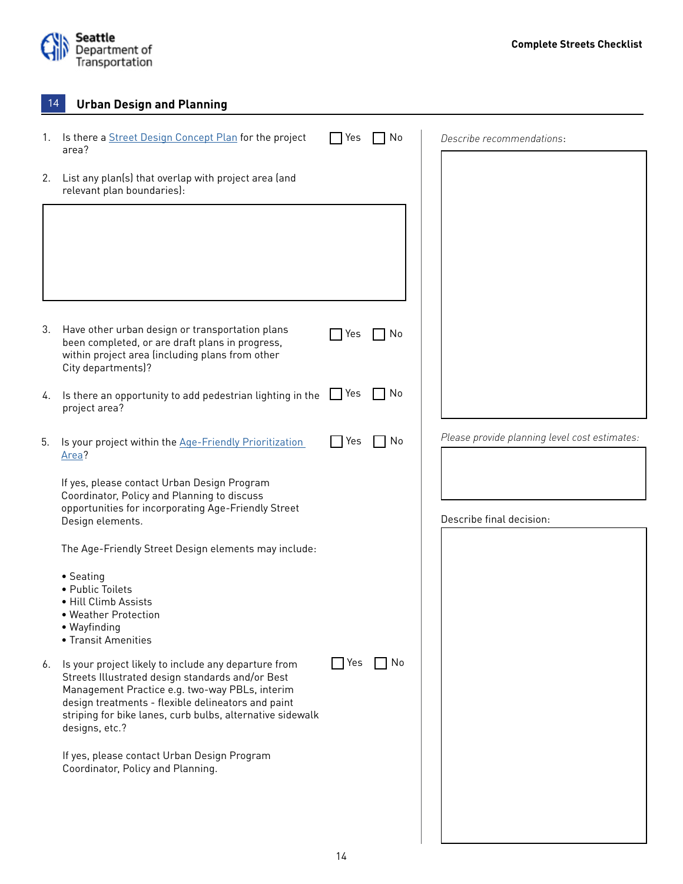

| 14 | <b>Urban Design and Planning</b>                                                                                                                                                                                                                                                                |       |    |                                               |  |
|----|-------------------------------------------------------------------------------------------------------------------------------------------------------------------------------------------------------------------------------------------------------------------------------------------------|-------|----|-----------------------------------------------|--|
| 1. | Is there a Street Design Concept Plan for the project<br>area?                                                                                                                                                                                                                                  | Yes   | No | Describe recommendations:                     |  |
| 2. | List any plan(s) that overlap with project area (and<br>relevant plan boundaries):                                                                                                                                                                                                              |       |    |                                               |  |
|    |                                                                                                                                                                                                                                                                                                 |       |    |                                               |  |
|    |                                                                                                                                                                                                                                                                                                 |       |    |                                               |  |
|    |                                                                                                                                                                                                                                                                                                 |       |    |                                               |  |
| 3. | Have other urban design or transportation plans<br>been completed, or are draft plans in progress,<br>within project area (including plans from other<br>City departments)?                                                                                                                     | Yes   | No |                                               |  |
| 4. | Is there an opportunity to add pedestrian lighting in the<br>project area?                                                                                                                                                                                                                      | Yes   | No |                                               |  |
| 5. | Is your project within the Age-Friendly Prioritization<br>Area?                                                                                                                                                                                                                                 | l Yes | No | Please provide planning level cost estimates: |  |
|    | If yes, please contact Urban Design Program<br>Coordinator, Policy and Planning to discuss                                                                                                                                                                                                      |       |    |                                               |  |
|    | opportunities for incorporating Age-Friendly Street<br>Design elements.                                                                                                                                                                                                                         |       |    | Describe final decision:                      |  |
|    | The Age-Friendly Street Design elements may include:                                                                                                                                                                                                                                            |       |    |                                               |  |
|    | • Seating<br>• Public Toilets<br>· Hill Climb Assists<br>• Weather Protection<br>• Wayfinding<br>• Transit Amenities                                                                                                                                                                            |       |    |                                               |  |
| 6. | Is your project likely to include any departure from<br>Streets Illustrated design standards and/or Best<br>Management Practice e.g. two-way PBLs, interim<br>design treatments - flexible delineators and paint<br>striping for bike lanes, curb bulbs, alternative sidewalk<br>designs, etc.? | 7 Yes | No |                                               |  |
|    | If yes, please contact Urban Design Program<br>Coordinator, Policy and Planning.                                                                                                                                                                                                                |       |    |                                               |  |
|    |                                                                                                                                                                                                                                                                                                 |       |    |                                               |  |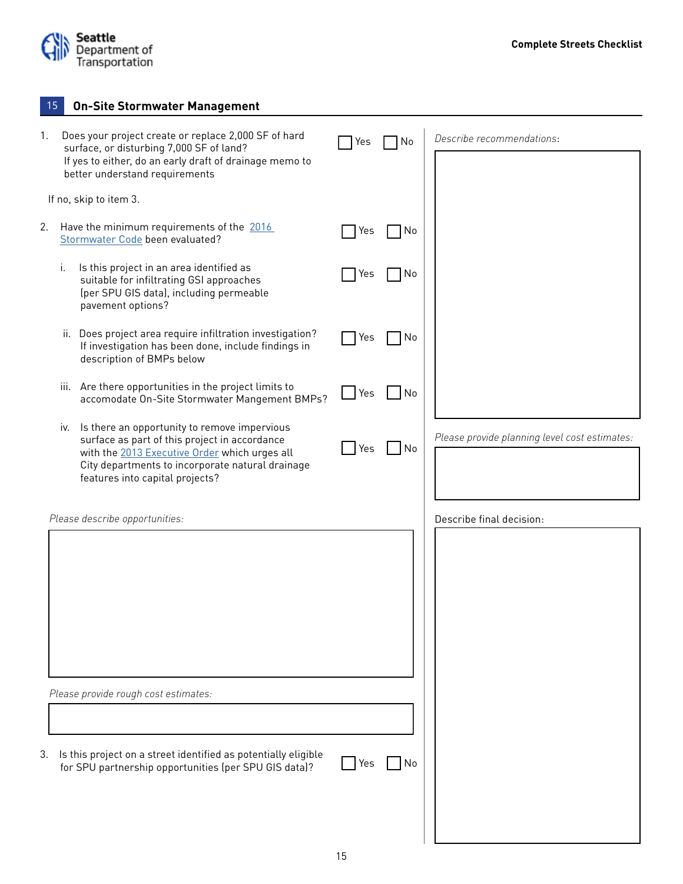

|    | 15  | <b>On-Site Stormwater Management</b>                                                                                                                                                                                                  |     |    |                                               |
|----|-----|---------------------------------------------------------------------------------------------------------------------------------------------------------------------------------------------------------------------------------------|-----|----|-----------------------------------------------|
| 1. |     | Does your project create or replace 2,000 SF of hard<br>surface, or disturbing 7,000 SF of land?<br>If yes to either, do an early draft of drainage memo to<br>better understand requirements                                         | Yes | No | Describe recommendations:                     |
|    |     | If no, skip to item 3.                                                                                                                                                                                                                |     |    |                                               |
| 2. |     | Have the minimum requirements of the 2016<br>Stormwater Code been evaluated?                                                                                                                                                          | Yes | No |                                               |
|    | i.  | Is this project in an area identified as<br>suitable for infiltrating GSI approaches<br>(per SPU GIS data), including permeable<br>pavement options?                                                                                  | Yes | No |                                               |
|    |     | ii. Does project area require infiltration investigation?<br>If investigation has been done, include findings in<br>description of BMPs below                                                                                         | Yes | No |                                               |
|    |     | iii. Are there opportunities in the project limits to<br>accomodate On-Site Stormwater Mangement BMPs?                                                                                                                                | Yes | No |                                               |
|    | IV. | Is there an opportunity to remove impervious<br>surface as part of this project in accordance<br>with the 2013 Executive Order which urges all<br>City departments to incorporate natural drainage<br>features into capital projects? | Yes | No | Please provide planning level cost estimates: |
|    |     | Please describe opportunities:                                                                                                                                                                                                        |     |    | Describe final decision:                      |
|    |     | Please provide rough cost estimates:                                                                                                                                                                                                  |     |    |                                               |
|    |     |                                                                                                                                                                                                                                       |     |    |                                               |
| 3. |     | Is this project on a street identified as potentially eligible<br>for SPU partnership opportunities (per SPU GIS data)?                                                                                                               | Yes | No |                                               |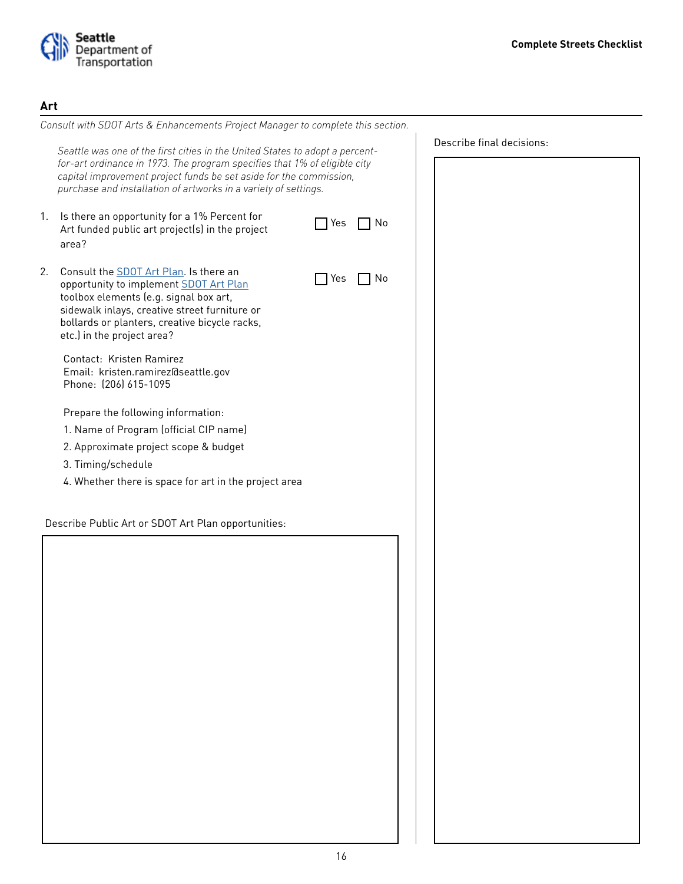

# **Art**

|    | Consult with SDOT Arts & Enhancements Project Manager to complete this section.                                                                                                                                                                                                                    |     |    |                           |
|----|----------------------------------------------------------------------------------------------------------------------------------------------------------------------------------------------------------------------------------------------------------------------------------------------------|-----|----|---------------------------|
|    | Seattle was one of the first cities in the United States to adopt a percent-<br>for-art ordinance in 1973. The program specifies that 1% of eligible city<br>capital improvement project funds be set aside for the commission,<br>purchase and installation of artworks in a variety of settings. |     |    | Describe final decisions: |
| 1. | Is there an opportunity for a 1% Percent for<br>Art funded public art project(s) in the project<br>area?                                                                                                                                                                                           | Yes | No |                           |
| 2. | Consult the SDOT Art Plan. Is there an<br>opportunity to implement SDOT Art Plan<br>toolbox elements (e.g. signal box art,<br>sidewalk inlays, creative street furniture or<br>bollards or planters, creative bicycle racks,<br>etc.) in the project area?                                         | Yes | No |                           |
|    | Contact: Kristen Ramirez<br>Email: kristen.ramirez@seattle.gov<br>Phone: (206) 615-1095                                                                                                                                                                                                            |     |    |                           |
|    | Prepare the following information:                                                                                                                                                                                                                                                                 |     |    |                           |
|    | 1. Name of Program (official CIP name)                                                                                                                                                                                                                                                             |     |    |                           |
|    | 2. Approximate project scope & budget                                                                                                                                                                                                                                                              |     |    |                           |
|    | 3. Timing/schedule                                                                                                                                                                                                                                                                                 |     |    |                           |
|    | 4. Whether there is space for art in the project area                                                                                                                                                                                                                                              |     |    |                           |
|    |                                                                                                                                                                                                                                                                                                    |     |    |                           |
|    | Describe Public Art or SDOT Art Plan opportunities:                                                                                                                                                                                                                                                |     |    |                           |
|    |                                                                                                                                                                                                                                                                                                    |     |    |                           |
|    |                                                                                                                                                                                                                                                                                                    |     |    |                           |
|    |                                                                                                                                                                                                                                                                                                    |     |    |                           |
|    |                                                                                                                                                                                                                                                                                                    |     |    |                           |
|    |                                                                                                                                                                                                                                                                                                    |     |    |                           |
|    |                                                                                                                                                                                                                                                                                                    |     |    |                           |
|    |                                                                                                                                                                                                                                                                                                    |     |    |                           |
|    |                                                                                                                                                                                                                                                                                                    |     |    |                           |
|    |                                                                                                                                                                                                                                                                                                    |     |    |                           |
|    |                                                                                                                                                                                                                                                                                                    |     |    |                           |
|    |                                                                                                                                                                                                                                                                                                    |     |    |                           |
|    |                                                                                                                                                                                                                                                                                                    |     |    |                           |
|    |                                                                                                                                                                                                                                                                                                    |     |    |                           |
|    |                                                                                                                                                                                                                                                                                                    |     |    |                           |
|    |                                                                                                                                                                                                                                                                                                    |     |    |                           |
|    |                                                                                                                                                                                                                                                                                                    |     |    |                           |
|    |                                                                                                                                                                                                                                                                                                    |     |    |                           |
|    |                                                                                                                                                                                                                                                                                                    |     |    |                           |
|    |                                                                                                                                                                                                                                                                                                    |     |    |                           |